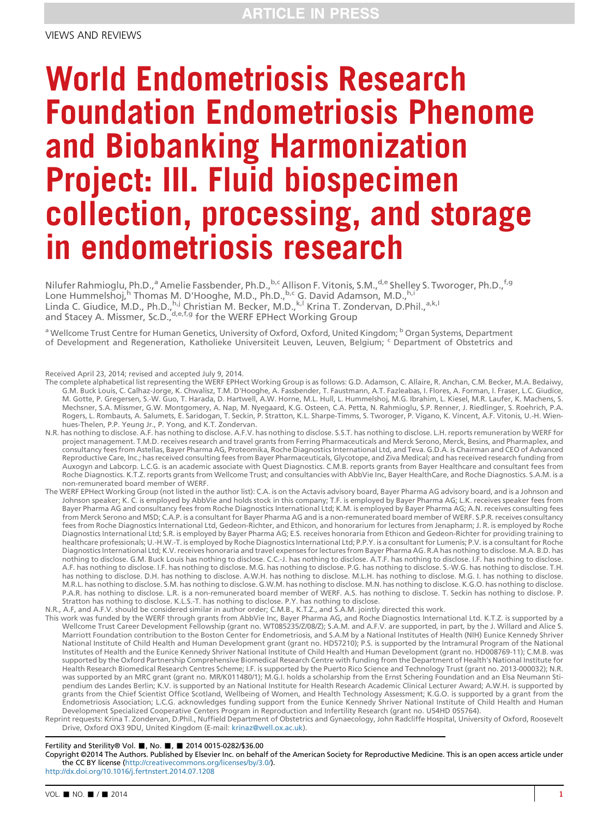# World Endometriosis Research Foundation Endometriosis Phenome and Biobanking Harmonization Project: III. Fluid biospecimen collection, processing, and storage in endometriosis research

Nilufer Rahmioglu, Ph.D.,<sup>a</sup> Amelie Fassbender, Ph.D.,<sup>b,c</sup> Allison F. Vitonis, S.M.,<sup>d,e</sup> Shelley S. Tworoger, Ph.D.,<sup>f,g</sup> Lone Hummelshoj,<sup>h</sup> Thomas M. D'Hooghe, M.D., Ph.D.,<sup>b,c</sup> G. David Adamson, M.D.,<sup>h,i</sup> Linda C. Giudice, M.D., Ph.D.,<sup>h,j</sup> Christian M. Becker, M.D.,<sup>k,l</sup> Krina T. Zondervan, D.Phil.,<sup>a,k,l</sup> and Stacey A. Missmer, Sc.D., d,e, f,g for the WERF EPHect Working Group

<sup>a</sup> Wellcome Trust Centre for Human Genetics, University of Oxford, Oxford, United Kingdom; <sup>b</sup> Organ Systems, Department of Development and Regeneration, Katholieke Universiteit Leuven, Leuven, Belgium; <sup>c</sup> Department of Obstetrics and

Received April 23, 2014; revised and accepted July 9, 2014.

- The complete alphabetical list representing the WERF EPHect Working Group is as follows: G.D. Adamson, C. Allaire, R. Anchan, C.M. Becker, M.A. Bedaiwy,<br>G.M. Buck Louis, C. Calhaz-Jorge, K. Chwalisz, T.M. D'Hooghe, A. Fass M. Gotte, P. Gregersen, S.-W. Guo, T. Harada, D. Hartwell, A.W. Horne, M.L. Hull, L. Hummelshoj, M.G. Ibrahim, L. Kiesel, M.R. Laufer, K. Machens, S. Mechsner, S.A. Missmer, G.W. Montgomery, A. Nap, M. Nyegaard, K.G. Osteen, C.A. Petta, N. Rahmioglu, S.P. Renner, J. Riedlinger, S. Roehrich, P.A.<br>Rogers, L. Rombauts, A. Salumets, E. Saridogan, T. Seckin, P. Stratton, K.L hues-Thelen, P.P. Yeung Jr., P. Yong, and K.T. Zondervan.
- N.R. has nothing to disclose. A.F. has nothing to disclose. A.F.V. has nothing to disclose. S.S.T. has nothing to disclose. L.H. reports remuneration by WERF for project management. T.M.D. receives research and travel grants from Ferring Pharmaceuticals and Merck Serono, Merck, Besins, and Pharmaplex, and consultancy fees from Astellas, Bayer Pharma AG, Proteomika, Roche Diagnostics International Ltd, and Teva. G.D.A. is Chairman and CEO of Advanced Reproductive Care, Inc.; has received consulting fees from Bayer Pharmaceuticals, Glycotope, and Ziva Medical; and has received research funding from Auxogyn and Labcorp. L.C.G. is an academic associate with Quest Diagnostics. C.M.B. reports grants from Bayer Healthcare and consultant fees from Roche Diagnostics. K.T.Z. reports grants from Wellcome Trust; and consultancies with AbbVie Inc, Bayer HealthCare, and Roche Diagnostics. S.A.M. is a non-remunerated board member of WERF.
- The WERF EPHect Working Group (not listed in the author list): C.A. is on the Actavis advisory board, Bayer Pharma AG advisory board, and is a Johnson and<br>Johnson speaker; K. C. is employed by AbbVie and holds stock in thi Bayer Pharma AG and consultancy fees from Roche Diagnostics International Ltd; K.M. is employed by Bayer Pharma AG; A.N. receives consulting fees from Merck Serono and MSD; C.A.P. is a consultant for Bayer Pharma AG and is a non-remunerated board member of WERF. S.P.R. receives consultancy fees from Roche Diagnostics International Ltd, Gedeon-Richter, and Ethicon, and honorarium for lectures from Jenapharm; J. R. is employed by Roche Diagnostics International Ltd; S.R. is employed by Bayer Pharma AG; E.S. receives honoraria from Ethicon and Gedeon-Richter for providing training to healthcare professionals; U.-H.W.-T. is employed by Roche Diagnostics International Ltd; P.P.Y. is a consultant for Lumenis; P.V. is a consultant for Roche Diagnostics International Ltd; K.V. receives honoraria and travel expenses for lectures from Bayer Pharma AG. R.A has nothing to disclose. M.A. B.D. has nothing to disclose. G.M. Buck Louis has nothing to disclose. C.C.-J. has nothing to disclose. A.T.F. has nothing to disclose. I.F. has nothing to disclose. A.F. has nothing to disclose. I.F. has nothing to disclose. M.G. has nothing to disclose. P.G. has nothing to disclose. S.-W.G. has nothing to disclose. T.H. has nothing to disclose. D.H. has nothing to disclose. A.W.H. has nothing to disclose. M.L.H. has nothing to disclose. M.G. I. has nothing to disclose. M.R.L. has nothing to disclose. S.M. has nothing to disclose. G.W.M. has nothing to disclose. M.N. has nothing to disclose. K.G.O. has nothing to disclose.<br>P.A.R. has nothing to disclose. L.R. is a non-remunerated board me Stratton has nothing to disclose. K.L.S.-T. has nothing to disclose. P.Y. has nothing to disclose.
- N.R., A.F, and A.F.V. should be considered similar in author order; C.M.B., K.T.Z., and S.A.M. jointly directed this work.
- This work was funded by the WERF through grants from AbbVie Inc, Bayer Pharma AG, and Roche Diagnostics International Ltd. K.T.Z. is supported by a Wellcome Trust Career Development Fellowship (grant no. WT085235/Z/08/Z); S.A.M. and A.F.V. are supported, in part, by the J. Willard and Alice S. Marriott Foundation contribution to the Boston Center for Endometriosis, and S.A.M by a National Institutes of Health (NIH) Eunice Kennedy Shriver National Institute of Child Health and Human Development grant (grant no. HD57210); P.S. is supported by the Intramural Program of the National Institutes of Health and the Eunice Kennedy Shriver National Institute of Child Health and Human Development (grant no. HD008769-11); C.M.B. was supported by the Oxford Partnership Comprehensive Biomedical Research Centre with funding from the Department of Health's National Institute for Health Research Biomedical Research Centres Scheme; I.F. is supported by the Puerto Rico Science and Technology Trust (grant no. 2013-000032); N.R. was supported by an MRC grant (grant no. MR/K011480/1); M.G.I. holds a scholarship from the Ernst Schering Foundation and an Elsa Neumann Sti-<br>pendium des Landes Berlin; K.V. is supported by an National Institute for Healt grants from the Chief Scientist Office Scotland, Wellbeing of Women, and Health Technology Assessment; K.G.O. is supported by a grant from the Endometriosis Association; L.C.G. acknowledges funding support from the Eunice Kennedy Shriver National Institute of Child Health and Human Development Specialized Cooperative Centers Program in Reproduction and Infertility Research (grant no. U54HD 055764).
- Reprint requests: Krina T. Zondervan, D.Phil., Nuffield Department of Obstetrics and Gynaecology, John Radcliffe Hospital, University of Oxford, Roosevelt Drive, Oxford OX3 9DU, United Kingdom (E-mail: [krinaz@well.ox.ac.uk\)](mailto:krinaz@well.ox.ac.uk).

#### Fertility and Sterility® Vol. ■, No. ■, ■ 2014 0015-0282/\$36.00

Copyright ©2014 The Authors. Published by Elsevier Inc. on behalf of the American Society for Reproductive Medicine. This is an open access article under the CC BY license [\(http://creativecommons.org/licenses/by/3.0/](http://creativecommons.org/licenses/by/3.0/)). <http://dx.doi.org/10.1016/j.fertnstert.2014.07.1208>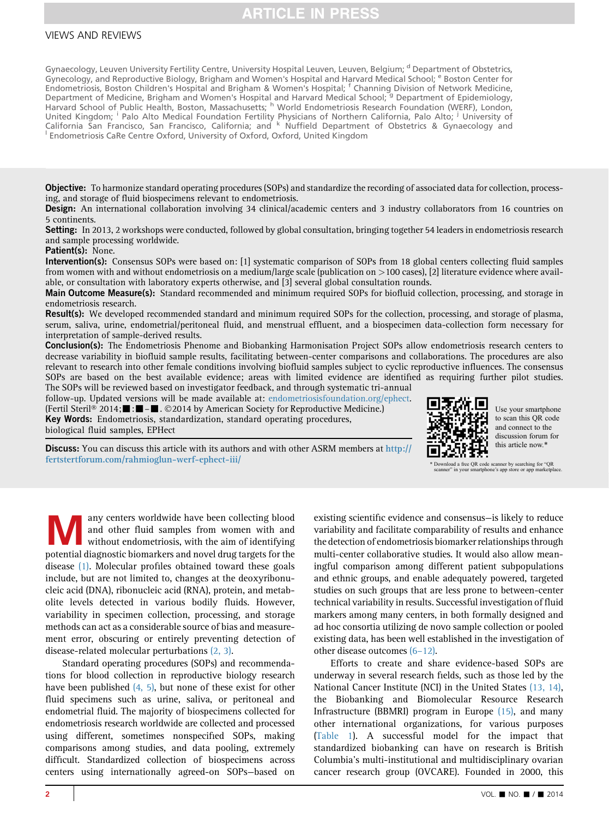#### VIEWS AND REVIEWS

Gynaecology, Leuven University Fertility Centre, University Hospital Leuven, Leuven, Belgium; <sup>d</sup> Department of Obstetrics, Gynecology, and Reproductive Biology, Brigham and Women's Hospital and Harvard Medical School; <sup>e</sup> Boston Center for Endometriosis, Boston Children's Hospital and Brigham & Women's Hospital; <sup>f</sup> Channing Division of Network Medicine, Department of Medicine, Brigham and Women's Hospital and Harvard Medical School; <sup>g</sup> Department of Epidemiology, Harvard School of Public Health, Boston, Massachusetts; <sup>h</sup> World Endometriosis Research Foundation (WERF), London, United Kingdom; <sup>i</sup> Palo Alto Medical Foundation Fertility Physicians of Northern California, Palo Alto; <sup>j</sup> University of California San Francisco, San Francisco, California; and <sup>k</sup> Nuffield Department of Obstetrics & Gynaecology and<br>I Endometricsis CaBe Centre Oxford University of Oxford Oxford United Kingdom Endometriosis CaRe Centre Oxford, University of Oxford, Oxford, United Kingdom

Objective: To harmonize standard operating procedures (SOPs) and standardize the recording of associated data for collection, processing, and storage of fluid biospecimens relevant to endometriosis.

Design: An international collaboration involving 34 clinical/academic centers and 3 industry collaborators from 16 countries on 5 continents.

Setting: In 2013, 2 workshops were conducted, followed by global consultation, bringing together 54 leaders in endometriosis research and sample processing worldwide.

#### Patient(s): None.

Intervention(s): Consensus SOPs were based on: [1] systematic comparison of SOPs from 18 global centers collecting fluid samples from women with and without endometriosis on a medium/large scale (publication on >100 cases), [2] literature evidence where available, or consultation with laboratory experts otherwise, and [3] several global consultation rounds.

Main Outcome Measure(s): Standard recommended and minimum required SOPs for biofluid collection, processing, and storage in endometriosis research.

Result(s): We developed recommended standard and minimum required SOPs for the collection, processing, and storage of plasma, serum, saliva, urine, endometrial/peritoneal fluid, and menstrual effluent, and a biospecimen data-collection form necessary for interpretation of sample-derived results.

Conclusion(s): The Endometriosis Phenome and Biobanking Harmonisation Project SOPs allow endometriosis research centers to decrease variability in biofluid sample results, facilitating between-center comparisons and collaborations. The procedures are also relevant to research into other female conditions involving biofluid samples subject to cyclic reproductive influences. The consensus SOPs are based on the best available evidence; areas with limited evidence are identified as requiring further pilot studies. The SOPs will be reviewed based on investigator feedback, and through systematic tri-annual

follow-up. Updated versions will be made available at: [endometriosisfoundation.org/ephect](http://endometriosisfoundation.org/ephect). (Fertil Steril® 2014; : = : = - . ©2014 by American Society for Reproductive Medicine.) Key Words: Endometriosis, standardization, standard operating procedures, biological fluid samples, EPHect



Use your smartphone to scan this QR code and connect to the discussion forum for this article now.\*

Discuss: You can discuss this article with its authors and with other ASRM members at [http://](http://fertstertforum.com/rahmioglun-werf-ephect-iii/) [fertstertforum.com/rahmioglun-werf-ephect-iii/](http://fertstertforum.com/rahmioglun-werf-ephect-iii/)

\* Download a free QR code scanner by searching for "QR scanner" in your smartphone's app store or app marketplace.

any centers worldwide have been collecting blood<br>and other fluid samples from women with and<br>without endometriosis, with the aim of identifying and other fluid samples from women with and without endometriosis, with the aim of identifying potential diagnostic biomarkers and novel drug targets for the disease [\(1\)](#page-8-0). Molecular profiles obtained toward these goals include, but are not limited to, changes at the deoxyribonucleic acid (DNA), ribonucleic acid (RNA), protein, and metabolite levels detected in various bodily fluids. However, variability in specimen collection, processing, and storage methods can act as a considerable source of bias and measurement error, obscuring or entirely preventing detection of disease-related molecular perturbations [\(2, 3\).](#page-8-0)

Standard operating procedures (SOPs) and recommendations for blood collection in reproductive biology research have been published [\(4, 5\),](#page-8-0) but none of these exist for other fluid specimens such as urine, saliva, or peritoneal and endometrial fluid. The majority of biospecimens collected for endometriosis research worldwide are collected and processed using different, sometimes nonspecified SOPs, making comparisons among studies, and data pooling, extremely difficult. Standardized collection of biospecimens across centers using internationally agreed-on SOPs—based on

existing scientific evidence and consensus—is likely to reduce variability and facilitate comparability of results and enhance the detection of endometriosis biomarker relationships through multi-center collaborative studies. It would also allow meaningful comparison among different patient subpopulations and ethnic groups, and enable adequately powered, targeted studies on such groups that are less prone to between-center technical variability in results. Successful investigation of fluid markers among many centers, in both formally designed and ad hoc consortia utilizing de novo sample collection or pooled existing data, has been well established in the investigation of other disease outcomes (6–[12\).](#page-8-0)

Efforts to create and share evidence-based SOPs are underway in several research fields, such as those led by the National Cancer Institute (NCI) in the United States [\(13, 14\),](#page-8-0) the Biobanking and Biomolecular Resource Research Infrastructure (BBMRI) program in Europe [\(15\),](#page-8-0) and many other international organizations, for various purposes ([Table 1\)](#page-2-0). A successful model for the impact that standardized biobanking can have on research is British Columbia's multi-institutional and multidisciplinary ovarian cancer research group (OVCARE). Founded in 2000, this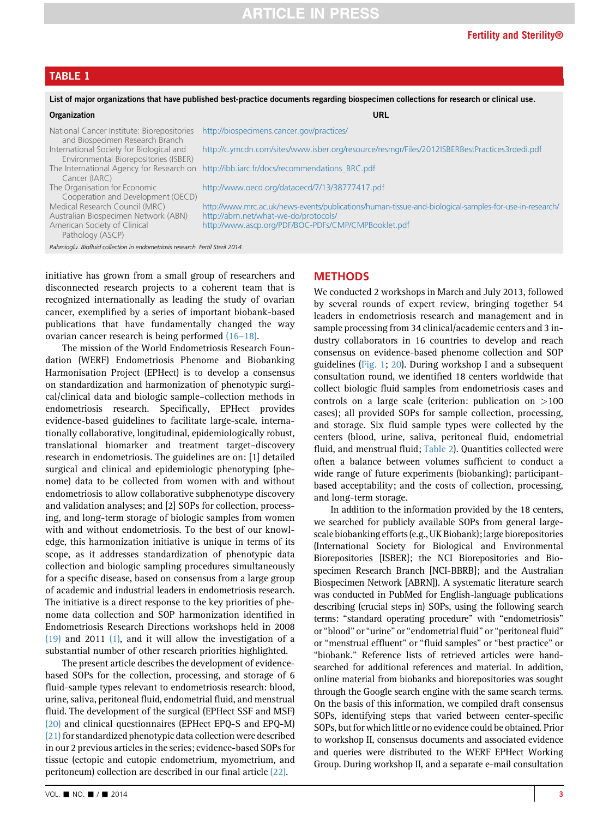# <span id="page-2-0"></span>TABLE 1

List of major organizations that have published best-practice documents regarding biospecimen collections for research or clinical use. **Organization** URL **District of the URL Contract of the URL** Contract of the URL Contract of the URL Contract of the URL Contract of the URL Contract of the URL Contract of the URL Contract of the URL Contract of the URL C National Cancer Institute: Biorepositories and Biospecimen Research Branch <http://biospecimens.cancer.gov/practices/> International Society for Biological and Environmental Biorepositories (ISBER) <http://c.ymcdn.com/sites/www.isber.org/resource/resmgr/Files/2012ISBERBestPractices3rdedi.pdf> The International Agency for Research on [http://ibb.iarc.fr/docs/recommendations\\_BRC.pdf](http://ibb.iarc.fr/docs/recommendations_BRC.pdf) Cancer (IARC) The Organisation for Economic Cooperation and Development (OECD) <http://www.oecd.org/dataoecd/7/13/38777417.pdf> Medical Research Council (MRC) <http://www.mrc.ac.uk/news-events/publications/human-tissue-and-biological-samples-for-use-in-research/><br>Australian Biospecimen Network (ABN) http://abrn.net/what-we-do/protocols/ Australian Biospecimen Network (ABN) American Society of Clinical Pathology (ASCP) <http://www.ascp.org/PDF/BOC-PDFs/CMP/CMPBooklet.pdf> Rahmioglu. Biofluid collection in endometriosis research. Fertil Steril 2014.

initiative has grown from a small group of researchers and disconnected research projects to a coherent team that is recognized internationally as leading the study of ovarian cancer, exemplified by a series of important biobank-based publications that have fundamentally changed the way ovarian cancer research is being performed (16–[18\)](#page-8-0).

The mission of the World Endometriosis Research Foundation (WERF) Endometriosis Phenome and Biobanking Harmonisation Project (EPHect) is to develop a consensus on standardization and harmonization of phenotypic surgical/clinical data and biologic sample–collection methods in endometriosis research. Specifically, EPHect provides evidence-based guidelines to facilitate large-scale, internationally collaborative, longitudinal, epidemiologically robust, translational biomarker and treatment target–discovery research in endometriosis. The guidelines are on: [1] detailed surgical and clinical and epidemiologic phenotyping (phenome) data to be collected from women with and without endometriosis to allow collaborative subphenotype discovery and validation analyses; and [2] SOPs for collection, processing, and long-term storage of biologic samples from women with and without endometriosis. To the best of our knowledge, this harmonization initiative is unique in terms of its scope, as it addresses standardization of phenotypic data collection and biologic sampling procedures simultaneously for a specific disease, based on consensus from a large group of academic and industrial leaders in endometriosis research. The initiative is a direct response to the key priorities of phenome data collection and SOP harmonization identified in Endometriosis Research Directions workshops held in 2008 [\(19\)](#page-8-0) and 2011 [\(1\)](#page-8-0), and it will allow the investigation of a substantial number of other research priorities highlighted.

The present article describes the development of evidencebased SOPs for the collection, processing, and storage of 6 fluid-sample types relevant to endometriosis research: blood, urine, saliva, peritoneal fluid, endometrial fluid, and menstrual fluid. The development of the surgical (EPHect SSF and MSF) [\(20\)](#page-8-0) and clinical questionnaires (EPHect EPQ-S and EPQ-M)  $(21)$  for standardized phenotypic data collection were described in our 2 previous articles in the series; evidence-based SOPs for tissue (ectopic and eutopic endometrium, myometrium, and peritoneum) collection are described in our final article [\(22\)](#page-8-0).

#### VOL.  $\blacksquare$  NO.  $\blacksquare$  /  $\blacksquare$  2014 3

#### **METHODS**

We conducted 2 workshops in March and July 2013, followed by several rounds of expert review, bringing together 54 leaders in endometriosis research and management and in sample processing from 34 clinical/academic centers and 3 industry collaborators in 16 countries to develop and reach consensus on evidence-based phenome collection and SOP guidelines [\(Fig. 1](#page-3-0); [20\)](#page-8-0). During workshop I and a subsequent consultation round, we identified 18 centers worldwide that collect biologic fluid samples from endometriosis cases and controls on a large scale (criterion: publication on >100 cases); all provided SOPs for sample collection, processing, and storage. Six fluid sample types were collected by the centers (blood, urine, saliva, peritoneal fluid, endometrial fluid, and menstrual fluid; [Table 2](#page-3-0)). Quantities collected were often a balance between volumes sufficient to conduct a wide range of future experiments (biobanking); participantbased acceptability; and the costs of collection, processing, and long-term storage.

In addition to the information provided by the 18 centers, we searched for publicly available SOPs from general largescale biobanking efforts (e.g., UK Biobank); large biorepositories (International Society for Biological and Environmental Biorepositories [ISBER]; the NCI Biorepositories and Biospecimen Research Branch [NCI-BBRB]; and the Australian Biospecimen Network [ABRN]). A systematic literature search was conducted in PubMed for English-language publications describing (crucial steps in) SOPs, using the following search terms: ''standard operating procedure'' with ''endometriosis'' or "blood" or "urine" or "endometrial fluid" or "peritoneal fluid" or ''menstrual effluent'' or ''fluid samples'' or ''best practice'' or "biobank." Reference lists of retrieved articles were handsearched for additional references and material. In addition, online material from biobanks and biorepositories was sought through the Google search engine with the same search terms. On the basis of this information, we compiled draft consensus SOPs, identifying steps that varied between center-specific SOPs, but for which little or no evidence could be obtained. Prior to workshop II, consensus documents and associated evidence and queries were distributed to the WERF EPHect Working Group. During workshop II, and a separate e-mail consultation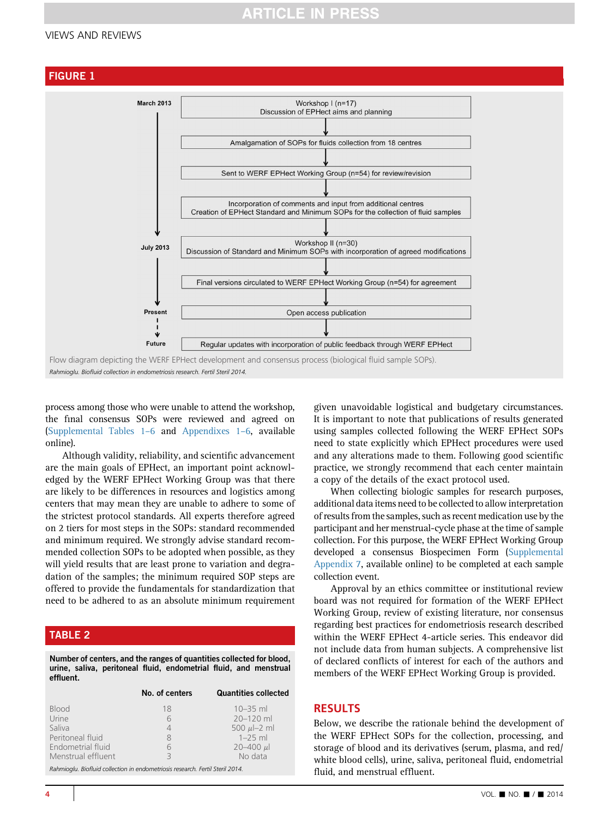# **ARTICLE IN PRESS**

#### <span id="page-3-0"></span>VIEWS AND REVIEWS





Rahmioglu. Biofluid collection in endometriosis research. Fertil Steril 2014.

process among those who were unable to attend the workshop, the final consensus SOPs were reviewed and agreed on (Supplemental Tables 1–6 and Appendixes 1–6, available online).

Although validity, reliability, and scientific advancement are the main goals of EPHect, an important point acknowledged by the WERF EPHect Working Group was that there are likely to be differences in resources and logistics among centers that may mean they are unable to adhere to some of the strictest protocol standards. All experts therefore agreed on 2 tiers for most steps in the SOPs: standard recommended and minimum required. We strongly advise standard recommended collection SOPs to be adopted when possible, as they will yield results that are least prone to variation and degradation of the samples; the minimum required SOP steps are offered to provide the fundamentals for standardization that need to be adhered to as an absolute minimum requirement

# TABLE 2

Number of centers, and the ranges of quantities collected for blood, urine, saliva, peritoneal fluid, endometrial fluid, and menstrual effluent.

|                                                                                | No. of centers | <b>Quantities collected</b> |
|--------------------------------------------------------------------------------|----------------|-----------------------------|
| <b>Blood</b>                                                                   | 18             | $10 - 35$ ml                |
| Urine                                                                          |                | 20-120 ml                   |
| Saliva                                                                         |                | 500 $\mu$ l-2 ml            |
| Peritoneal fluid                                                               | 8              | $1-25$ ml                   |
| Endometrial fluid                                                              | 6              | 20-400 $\mu$                |
| Menstrual effluent                                                             | $\prec$        | No data                     |
| Debosicali: Diefluid sellestien in englesestriesie sessende Fertil Cteril 2014 |                |                             |

Rahmioglu. Biofluid collection in endometriosis research. Fertil Steril 2014.

given unavoidable logistical and budgetary circumstances. It is important to note that publications of results generated using samples collected following the WERF EPHect SOPs need to state explicitly which EPHect procedures were used and any alterations made to them. Following good scientific practice, we strongly recommend that each center maintain a copy of the details of the exact protocol used.

When collecting biologic samples for research purposes, additional data items need to be collected to allow interpretation of results from the samples, such as recent medication use by the participant and her menstrual-cycle phase at the time of sample collection. For this purpose, the WERF EPHect Working Group developed a consensus Biospecimen Form (Supplemental Appendix 7, available online) to be completed at each sample collection event.

Approval by an ethics committee or institutional review board was not required for formation of the WERF EPHect Working Group, review of existing literature, nor consensus regarding best practices for endometriosis research described within the WERF EPHect 4-article series. This endeavor did not include data from human subjects. A comprehensive list of declared conflicts of interest for each of the authors and members of the WERF EPHect Working Group is provided.

#### RESULTS

Below, we describe the rationale behind the development of the WERF EPHect SOPs for the collection, processing, and storage of blood and its derivatives (serum, plasma, and red/ white blood cells), urine, saliva, peritoneal fluid, endometrial fluid, and menstrual effluent.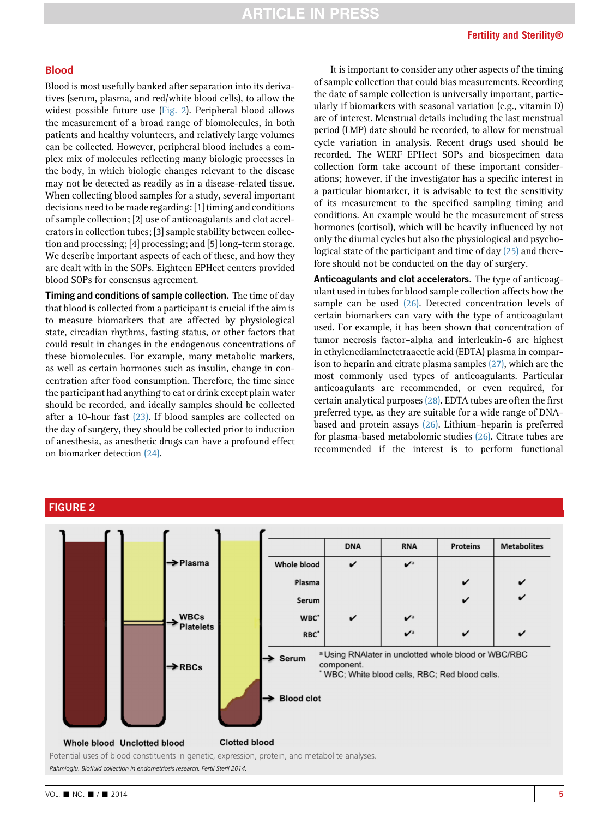#### Blood

Blood is most usefully banked after separation into its derivatives (serum, plasma, and red/white blood cells), to allow the widest possible future use (Fig. 2). Peripheral blood allows the measurement of a broad range of biomolecules, in both patients and healthy volunteers, and relatively large volumes can be collected. However, peripheral blood includes a complex mix of molecules reflecting many biologic processes in the body, in which biologic changes relevant to the disease may not be detected as readily as in a disease-related tissue. When collecting blood samples for a study, several important decisions need to be made regarding: [1] timing and conditions of sample collection; [2] use of anticoagulants and clot accelerators in collection tubes; [3] sample stability between collection and processing; [4] processing; and [5] long-term storage. We describe important aspects of each of these, and how they are dealt with in the SOPs. Eighteen EPHect centers provided blood SOPs for consensus agreement.

Timing and conditions of sample collection. The time of day that blood is collected from a participant is crucial if the aim is to measure biomarkers that are affected by physiological state, circadian rhythms, fasting status, or other factors that could result in changes in the endogenous concentrations of these biomolecules. For example, many metabolic markers, as well as certain hormones such as insulin, change in concentration after food consumption. Therefore, the time since the participant had anything to eat or drink except plain water should be recorded, and ideally samples should be collected after a 10-hour fast  $(23)$ . If blood samples are collected on the day of surgery, they should be collected prior to induction of anesthesia, as anesthetic drugs can have a profound effect on biomarker detection [\(24\)](#page-8-0).

It is important to consider any other aspects of the timing of sample collection that could bias measurements. Recording the date of sample collection is universally important, particularly if biomarkers with seasonal variation (e.g., vitamin D) are of interest. Menstrual details including the last menstrual period (LMP) date should be recorded, to allow for menstrual cycle variation in analysis. Recent drugs used should be recorded. The WERF EPHect SOPs and biospecimen data collection form take account of these important considerations; however, if the investigator has a specific interest in a particular biomarker, it is advisable to test the sensitivity of its measurement to the specified sampling timing and conditions. An example would be the measurement of stress hormones (cortisol), which will be heavily influenced by not only the diurnal cycles but also the physiological and psychological state of the participant and time of day [\(25\)](#page-8-0) and therefore should not be conducted on the day of surgery.

Anticoagulants and clot accelerators. The type of anticoagulant used in tubes for blood sample collection affects how the sample can be used  $(26)$ . Detected concentration levels of certain biomarkers can vary with the type of anticoagulant used. For example, it has been shown that concentration of tumor necrosis factor–alpha and interleukin-6 are highest in ethylenediaminetetraacetic acid (EDTA) plasma in comparison to heparin and citrate plasma samples [\(27\)](#page-8-0), which are the most commonly used types of anticoagulants. Particular anticoagulants are recommended, or even required, for certain analytical purposes [\(28\).](#page-9-0) EDTA tubes are often the first preferred type, as they are suitable for a wide range of DNAbased and protein assays [\(26\).](#page-8-0) Lithium–heparin is preferred for plasma-based metabolomic studies [\(26\)](#page-8-0). Citrate tubes are recommended if the interest is to perform functional



Potential uses of blood constituents in genetic, expression, protein, and metabolite analyses. Rahmioglu. Biofluid collection in endometriosis research. Fertil Steril 2014.

FIGURE 2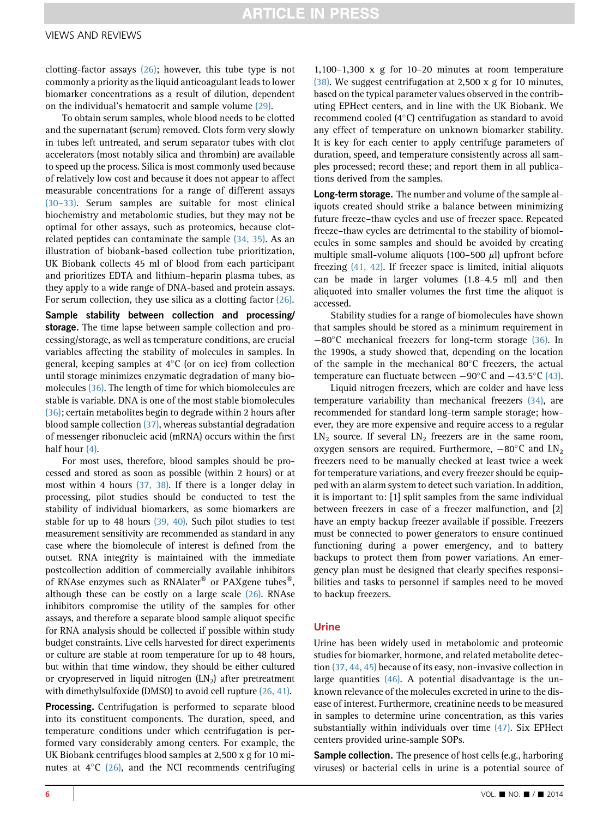clotting-factor assays  $(26)$ ; however, this tube type is not commonly a priority as the liquid anticoagulant leads to lower biomarker concentrations as a result of dilution, dependent on the individual's hematocrit and sample volume [\(29\)](#page-9-0).

To obtain serum samples, whole blood needs to be clotted and the supernatant (serum) removed. Clots form very slowly in tubes left untreated, and serum separator tubes with clot accelerators (most notably silica and thrombin) are available to speed up the process. Silica is most commonly used because of relatively low cost and because it does not appear to affect measurable concentrations for a range of different assays [\(30](#page-9-0)–33). Serum samples are suitable for most clinical biochemistry and metabolomic studies, but they may not be optimal for other assays, such as proteomics, because clotrelated peptides can contaminate the sample [\(34, 35\).](#page-9-0) As an illustration of biobank-based collection tube prioritization, UK Biobank collects 45 ml of blood from each participant and prioritizes EDTA and lithium–heparin plasma tubes, as they apply to a wide range of DNA-based and protein assays. For serum collection, they use silica as a clotting factor [\(26\)](#page-8-0).

Sample stability between collection and processing/ storage. The time lapse between sample collection and processing/storage, as well as temperature conditions, are crucial variables affecting the stability of molecules in samples. In general, keeping samples at  $4^{\circ}C$  (or on ice) from collection until storage minimizes enzymatic degradation of many biomolecules [\(36\)](#page-9-0). The length of time for which biomolecules are stable is variable. DNA is one of the most stable biomolecules [\(36\);](#page-9-0) certain metabolites begin to degrade within 2 hours after blood sample collection [\(37\)](#page-9-0), whereas substantial degradation of messenger ribonucleic acid (mRNA) occurs within the first half hour [\(4\).](#page-8-0)

For most uses, therefore, blood samples should be processed and stored as soon as possible (within 2 hours) or at most within 4 hours [\(37, 38\).](#page-9-0) If there is a longer delay in processing, pilot studies should be conducted to test the stability of individual biomarkers, as some biomarkers are stable for up to 48 hours [\(39, 40\)](#page-9-0). Such pilot studies to test measurement sensitivity are recommended as standard in any case where the biomolecule of interest is defined from the outset. RNA integrity is maintained with the immediate postcollection addition of commercially available inhibitors of RNAse enzymes such as RNAlater<sup>®</sup> or PAXgene tubes<sup>®</sup>, although these can be costly on a large scale [\(26\).](#page-8-0) RNAse inhibitors compromise the utility of the samples for other assays, and therefore a separate blood sample aliquot specific for RNA analysis should be collected if possible within study budget constraints. Live cells harvested for direct experiments or culture are stable at room temperature for up to 48 hours, but within that time window, they should be either cultured or cryopreserved in liquid nitrogen  $(LN_2)$  after pretreatment with dimethylsulfoxide (DMSO) to avoid cell rupture [\(26, 41\).](#page-8-0)

Processing. Centrifugation is performed to separate blood into its constituent components. The duration, speed, and temperature conditions under which centrifugation is performed vary considerably among centers. For example, the UK Biobank centrifuges blood samples at 2,500 x g for 10 minutes at  $4^{\circ}$ C [\(26\),](#page-8-0) and the NCI recommends centrifuging

1,100–1,300 x g for 10–20 minutes at room temperature [\(38\).](#page-9-0) We suggest centrifugation at 2,500 x g for 10 minutes, based on the typical parameter values observed in the contributing EPHect centers, and in line with the UK Biobank. We recommend cooled  $(4^{\circ}C)$  centrifugation as standard to avoid any effect of temperature on unknown biomarker stability. It is key for each center to apply centrifuge parameters of duration, speed, and temperature consistently across all samples processed; record these; and report them in all publications derived from the samples.

Long-term storage. The number and volume of the sample aliquots created should strike a balance between minimizing future freeze–thaw cycles and use of freezer space. Repeated freeze–thaw cycles are detrimental to the stability of biomolecules in some samples and should be avoided by creating multiple small-volume aliquots (100–500  $\mu$ l) upfront before freezing [\(41, 42\)](#page-9-0). If freezer space is limited, initial aliquots can be made in larger volumes (1.8–4.5 ml) and then aliquoted into smaller volumes the first time the aliquot is accessed.

Stability studies for a range of biomolecules have shown that samples should be stored as a minimum requirement in  $-80^{\circ}$ C mechanical freezers for long-term storage [\(36\)](#page-9-0). In the 1990s, a study showed that, depending on the location of the sample in the mechanical 80 $^{\circ}$ C freezers, the actual temperature can fluctuate between  $-90^{\circ}$ C and  $-43.5^{\circ}$ C [\(43\).](#page-9-0)

Liquid nitrogen freezers, which are colder and have less temperature variability than mechanical freezers [\(34\)](#page-9-0), are recommended for standard long-term sample storage; however, they are more expensive and require access to a regular  $LN<sub>2</sub>$  source. If several  $LN<sub>2</sub>$  freezers are in the same room, oxygen sensors are required. Furthermore,  $-80^{\circ}$ C and LN<sub>2</sub> freezers need to be manually checked at least twice a week for temperature variations, and every freezer should be equipped with an alarm system to detect such variation. In addition, it is important to: [1] split samples from the same individual between freezers in case of a freezer malfunction, and [2] have an empty backup freezer available if possible. Freezers must be connected to power generators to ensure continued functioning during a power emergency, and to battery backups to protect them from power variations. An emergency plan must be designed that clearly specifies responsibilities and tasks to personnel if samples need to be moved to backup freezers.

#### Urine

Urine has been widely used in metabolomic and proteomic studies for biomarker, hormone, and related metabolite detection [\(37, 44, 45\)](#page-9-0) because of its easy, non-invasive collection in large quantities [\(46\).](#page-9-0) A potential disadvantage is the unknown relevance of the molecules excreted in urine to the disease of interest. Furthermore, creatinine needs to be measured in samples to determine urine concentration, as this varies substantially within individuals over time [\(47\).](#page-9-0) Six EPHect centers provided urine-sample SOPs.

Sample collection. The presence of host cells (e.g., harboring viruses) or bacterial cells in urine is a potential source of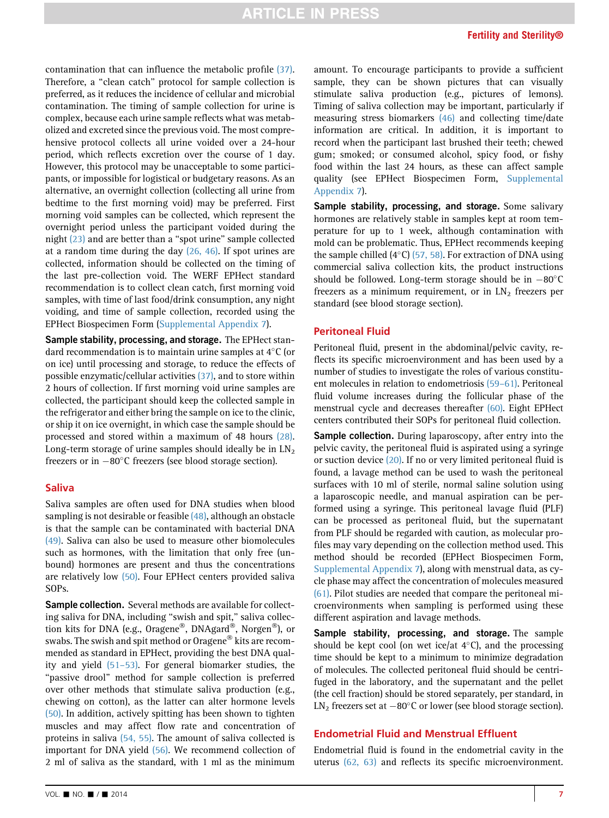contamination that can influence the metabolic profile [\(37\).](#page-9-0) Therefore, a "clean catch" protocol for sample collection is preferred, as it reduces the incidence of cellular and microbial contamination. The timing of sample collection for urine is complex, because each urine sample reflects what was metabolized and excreted since the previous void. The most comprehensive protocol collects all urine voided over a 24-hour period, which reflects excretion over the course of 1 day. However, this protocol may be unacceptable to some participants, or impossible for logistical or budgetary reasons. As an alternative, an overnight collection (collecting all urine from bedtime to the first morning void) may be preferred. First morning void samples can be collected, which represent the overnight period unless the participant voided during the night [\(23\)](#page-8-0) and are better than a ''spot urine'' sample collected at a random time during the day [\(26, 46\)](#page-8-0). If spot urines are collected, information should be collected on the timing of the last pre-collection void. The WERF EPHect standard recommendation is to collect clean catch, first morning void samples, with time of last food/drink consumption, any night voiding, and time of sample collection, recorded using the EPHect Biospecimen Form (Supplemental Appendix 7).

Sample stability, processing, and storage. The EPHect standard recommendation is to maintain urine samples at  $4^{\circ}$ C (or on ice) until processing and storage, to reduce the effects of possible enzymatic/cellular activities [\(37\),](#page-9-0) and to store within 2 hours of collection. If first morning void urine samples are collected, the participant should keep the collected sample in the refrigerator and either bring the sample on ice to the clinic, or ship it on ice overnight, in which case the sample should be processed and stored within a maximum of 48 hours [\(28\).](#page-9-0) Long-term storage of urine samples should ideally be in  $LN<sub>2</sub>$ freezers or in  $-80^{\circ}$ C freezers (see blood storage section).

#### Saliva

Saliva samples are often used for DNA studies when blood sampling is not desirable or feasible [\(48\)](#page-9-0), although an obstacle is that the sample can be contaminated with bacterial DNA [\(49\).](#page-9-0) Saliva can also be used to measure other biomolecules such as hormones, with the limitation that only free (unbound) hormones are present and thus the concentrations are relatively low [\(50\)](#page-9-0). Four EPHect centers provided saliva SOPs.

Sample collection. Several methods are available for collecting saliva for DNA, including "swish and spit," saliva collection kits for DNA (e.g., Oragene®, DNAgard®, Norgen®), or swabs. The swish and spit method or Oragene® kits are recommended as standard in EPHect, providing the best DNA quality and yield [\(51](#page-9-0)–53). For general biomarker studies, the "passive drool" method for sample collection is preferred over other methods that stimulate saliva production (e.g., chewing on cotton), as the latter can alter hormone levels [\(50\).](#page-9-0) In addition, actively spitting has been shown to tighten muscles and may affect flow rate and concentration of proteins in saliva [\(54, 55\).](#page-9-0) The amount of saliva collected is important for DNA yield [\(56\).](#page-9-0) We recommend collection of 2 ml of saliva as the standard, with 1 ml as the minimum

amount. To encourage participants to provide a sufficient sample, they can be shown pictures that can visually stimulate saliva production (e.g., pictures of lemons). Timing of saliva collection may be important, particularly if measuring stress biomarkers [\(46\)](#page-9-0) and collecting time/date information are critical. In addition, it is important to record when the participant last brushed their teeth; chewed gum; smoked; or consumed alcohol, spicy food, or fishy food within the last 24 hours, as these can affect sample quality (see EPHect Biospecimen Form, Supplemental Appendix 7).

Sample stability, processing, and storage. Some salivary hormones are relatively stable in samples kept at room temperature for up to 1 week, although contamination with mold can be problematic. Thus, EPHect recommends keeping the sample chilled (4 $\degree$ C) [\(57, 58\)](#page-9-0). For extraction of DNA using commercial saliva collection kits, the product instructions should be followed. Long-term storage should be in  $-80^{\circ}$ C freezers as a minimum requirement, or in  $LN<sub>2</sub>$  freezers per standard (see blood storage section).

#### Peritoneal Fluid

Peritoneal fluid, present in the abdominal/pelvic cavity, reflects its specific microenvironment and has been used by a number of studies to investigate the roles of various constituent molecules in relation to endometriosis [\(59](#page-9-0)–61). Peritoneal fluid volume increases during the follicular phase of the menstrual cycle and decreases thereafter [\(60\).](#page-9-0) Eight EPHect centers contributed their SOPs for peritoneal fluid collection.

Sample collection. During laparoscopy, after entry into the pelvic cavity, the peritoneal fluid is aspirated using a syringe or suction device [\(20\)](#page-8-0). If no or very limited peritoneal fluid is found, a lavage method can be used to wash the peritoneal surfaces with 10 ml of sterile, normal saline solution using a laparoscopic needle, and manual aspiration can be performed using a syringe. This peritoneal lavage fluid (PLF) can be processed as peritoneal fluid, but the supernatant from PLF should be regarded with caution, as molecular profiles may vary depending on the collection method used. This method should be recorded (EPHect Biospecimen Form, Supplemental Appendix 7), along with menstrual data, as cycle phase may affect the concentration of molecules measured [\(61\).](#page-9-0) Pilot studies are needed that compare the peritoneal microenvironments when sampling is performed using these different aspiration and lavage methods.

Sample stability, processing, and storage. The sample should be kept cool (on wet ice/at  $4^{\circ}$ C), and the processing time should be kept to a minimum to minimize degradation of molecules. The collected peritoneal fluid should be centrifuged in the laboratory, and the supernatant and the pellet (the cell fraction) should be stored separately, per standard, in LN<sub>2</sub> freezers set at  $-80^{\circ}$ C or lower (see blood storage section).

#### Endometrial Fluid and Menstrual Effluent

Endometrial fluid is found in the endometrial cavity in the uterus [\(62, 63\)](#page-9-0) and reflects its specific microenvironment.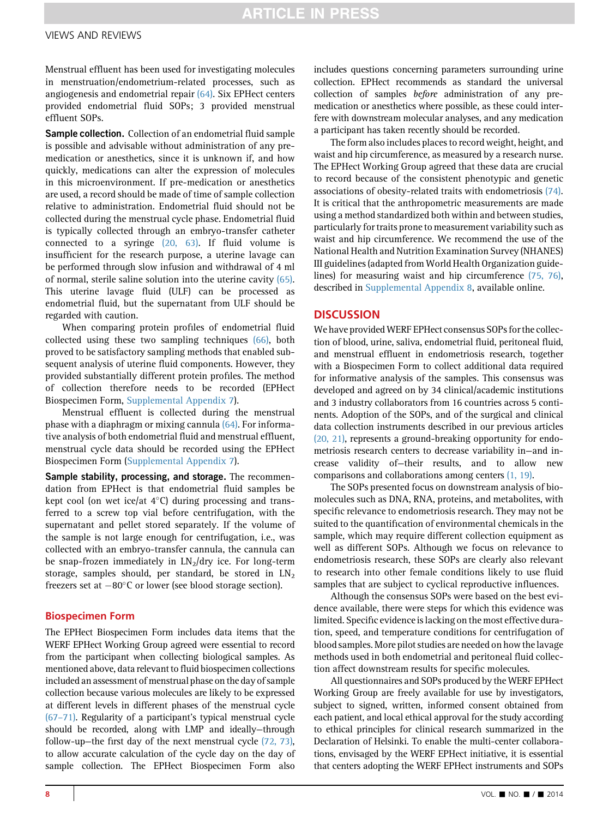Menstrual effluent has been used for investigating molecules in menstruation/endometrium-related processes, such as angiogenesis and endometrial repair [\(64\)](#page-9-0). Six EPHect centers provided endometrial fluid SOPs; 3 provided menstrual effluent SOPs.

Sample collection. Collection of an endometrial fluid sample is possible and advisable without administration of any premedication or anesthetics, since it is unknown if, and how quickly, medications can alter the expression of molecules in this microenvironment. If pre-medication or anesthetics are used, a record should be made of time of sample collection relative to administration. Endometrial fluid should not be collected during the menstrual cycle phase. Endometrial fluid is typically collected through an embryo-transfer catheter connected to a syringe [\(20, 63\).](#page-8-0) If fluid volume is insufficient for the research purpose, a uterine lavage can be performed through slow infusion and withdrawal of 4 ml of normal, sterile saline solution into the uterine cavity [\(65\).](#page-9-0) This uterine lavage fluid (ULF) can be processed as endometrial fluid, but the supernatant from ULF should be regarded with caution.

When comparing protein profiles of endometrial fluid collected using these two sampling techniques [\(66\)](#page-9-0), both proved to be satisfactory sampling methods that enabled subsequent analysis of uterine fluid components. However, they provided substantially different protein profiles. The method of collection therefore needs to be recorded (EPHect Biospecimen Form, Supplemental Appendix 7).

Menstrual effluent is collected during the menstrual phase with a diaphragm or mixing cannula [\(64\).](#page-9-0) For informative analysis of both endometrial fluid and menstrual effluent, menstrual cycle data should be recorded using the EPHect Biospecimen Form (Supplemental Appendix 7).

Sample stability, processing, and storage. The recommendation from EPHect is that endometrial fluid samples be kept cool (on wet ice/at  $4^{\circ}$ C) during processing and transferred to a screw top vial before centrifugation, with the supernatant and pellet stored separately. If the volume of the sample is not large enough for centrifugation, i.e., was collected with an embryo-transfer cannula, the cannula can be snap-frozen immediately in  $LN_2/dry$  ice. For long-term storage, samples should, per standard, be stored in  $LN<sub>2</sub>$ freezers set at  $-80^{\circ}$ C or lower (see blood storage section).

#### Biospecimen Form

The EPHect Biospecimen Form includes data items that the WERF EPHect Working Group agreed were essential to record from the participant when collecting biological samples. As mentioned above, data relevant to fluid biospecimen collections included an assessment of menstrual phase on the day of sample collection because various molecules are likely to be expressed at different levels in different phases of the menstrual cycle [\(67](#page-9-0)–71). Regularity of a participant's typical menstrual cycle should be recorded, along with LMP and ideally—through follow-up—the first day of the next menstrual cycle [\(72, 73\),](#page-10-0) to allow accurate calculation of the cycle day on the day of sample collection. The EPHect Biospecimen Form also

includes questions concerning parameters surrounding urine collection. EPHect recommends as standard the universal collection of samples before administration of any premedication or anesthetics where possible, as these could interfere with downstream molecular analyses, and any medication a participant has taken recently should be recorded.

The form also includes places to record weight, height, and waist and hip circumference, as measured by a research nurse. The EPHect Working Group agreed that these data are crucial to record because of the consistent phenotypic and genetic associations of obesity-related traits with endometriosis [\(74\).](#page-10-0) It is critical that the anthropometric measurements are made using a method standardized both within and between studies, particularly for traits prone to measurement variability such as waist and hip circumference. We recommend the use of the National Health and Nutrition Examination Survey (NHANES) III guidelines (adapted from World Health Organization guidelines) for measuring waist and hip circumference [\(75, 76\),](#page-10-0) described in Supplemental Appendix 8, available online.

#### **DISCUSSION**

We have provided WERF EPHect consensus SOPs for the collection of blood, urine, saliva, endometrial fluid, peritoneal fluid, and menstrual effluent in endometriosis research, together with a Biospecimen Form to collect additional data required for informative analysis of the samples. This consensus was developed and agreed on by 34 clinical/academic institutions and 3 industry collaborators from 16 countries across 5 continents. Adoption of the SOPs, and of the surgical and clinical data collection instruments described in our previous articles [\(20, 21\)](#page-8-0), represents a ground-breaking opportunity for endometriosis research centers to decrease variability in—and increase validity of—their results, and to allow new comparisons and collaborations among centers [\(1, 19\)](#page-8-0).

The SOPs presented focus on downstream analysis of biomolecules such as DNA, RNA, proteins, and metabolites, with specific relevance to endometriosis research. They may not be suited to the quantification of environmental chemicals in the sample, which may require different collection equipment as well as different SOPs. Although we focus on relevance to endometriosis research, these SOPs are clearly also relevant to research into other female conditions likely to use fluid samples that are subject to cyclical reproductive influences.

Although the consensus SOPs were based on the best evidence available, there were steps for which this evidence was limited. Specific evidence is lacking on the most effective duration, speed, and temperature conditions for centrifugation of blood samples. More pilot studies are needed on how the lavage methods used in both endometrial and peritoneal fluid collection affect downstream results for specific molecules.

All questionnaires and SOPs produced by the WERF EPHect Working Group are freely available for use by investigators, subject to signed, written, informed consent obtained from each patient, and local ethical approval for the study according to ethical principles for clinical research summarized in the Declaration of Helsinki. To enable the multi-center collaborations, envisaged by the WERF EPHect initiative, it is essential that centers adopting the WERF EPHect instruments and SOPs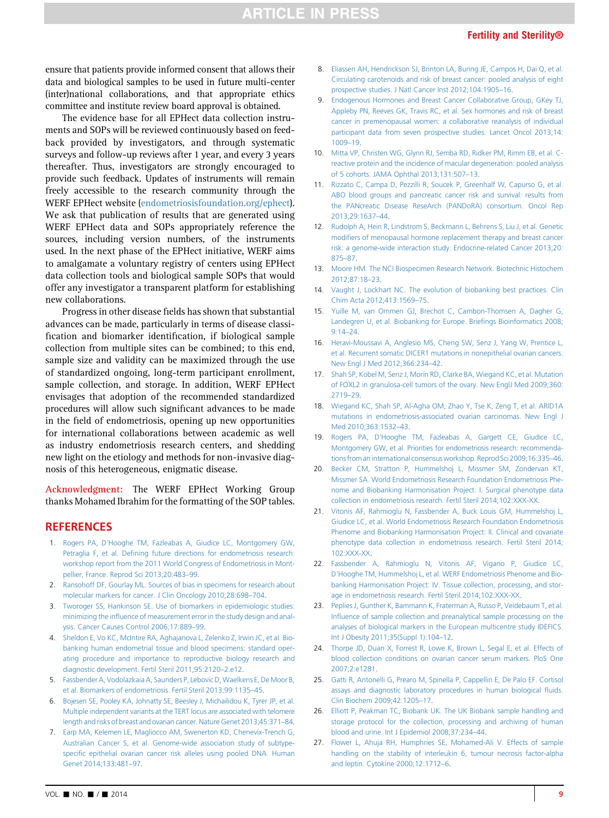<span id="page-8-0"></span>ensure that patients provide informed consent that allows their data and biological samples to be used in future multi-center (inter)national collaborations, and that appropriate ethics committee and institute review board approval is obtained.

The evidence base for all EPHect data collection instruments and SOPs will be reviewed continuously based on feedback provided by investigators, and through systematic surveys and follow-up reviews after 1 year, and every 3 years thereafter. Thus, investigators are strongly encouraged to provide such feedback. Updates of instruments will remain freely accessible to the research community through the WERF EPHect website [\(endometriosisfoundation.org/ephect](http://endometriosisfoundation.org/ephect)). We ask that publication of results that are generated using WERF EPHect data and SOPs appropriately reference the sources, including version numbers, of the instruments used. In the next phase of the EPHect initiative, WERF aims to amalgamate a voluntary registry of centers using EPHect data collection tools and biological sample SOPs that would offer any investigator a transparent platform for establishing new collaborations.

Progress in other disease fields has shown that substantial advances can be made, particularly in terms of disease classification and biomarker identification, if biological sample collection from multiple sites can be combined; to this end, sample size and validity can be maximized through the use of standardized ongoing, long-term participant enrollment, sample collection, and storage. In addition, WERF EPHect envisages that adoption of the recommended standardized procedures will allow such significant advances to be made in the field of endometriosis, opening up new opportunities for international collaborations between academic as well as industry endometriosis research centers, and shedding new light on the etiology and methods for non-invasive diagnosis of this heterogeneous, enigmatic disease.

Acknowledgment: The WERF EPHect Working Group thanks Mohamed Ibrahim for the formatting of the SOP tables.

#### **REFERENCES**

- 1. [Rogers PA, D'Hooghe TM, Fazleabas A, Giudice LC, Montgomery GW,](http://refhub.elsevier.com/S0015-0282(14)01835-4/sref1) Petraglia F, et al. Defi[ning future directions for endometriosis research:](http://refhub.elsevier.com/S0015-0282(14)01835-4/sref1) [workshop report from the 2011 World Congress of Endometriosis in Mont](http://refhub.elsevier.com/S0015-0282(14)01835-4/sref1)[pellier, France. Reprod Sci 2013;20:483](http://refhub.elsevier.com/S0015-0282(14)01835-4/sref1)–99.
- 2. [Ransohoff DF, Gourlay ML. Sources of bias in specimens for research about](http://refhub.elsevier.com/S0015-0282(14)01835-4/sref2) [molecular markers for cancer. J Clin Oncology 2010;28:698](http://refhub.elsevier.com/S0015-0282(14)01835-4/sref2)–704.
- 3. [Tworoger SS, Hankinson SE. Use of biomarkers in epidemiologic studies:](http://refhub.elsevier.com/S0015-0282(14)01835-4/sref3) minimizing the infl[uence of measurement error in the study design and anal](http://refhub.elsevier.com/S0015-0282(14)01835-4/sref3)[ysis. Cancer Causes Control 2006;17:889](http://refhub.elsevier.com/S0015-0282(14)01835-4/sref3)–99.
- 4. [Sheldon E, Vo KC, McIntire RA, Aghajanova L, Zelenko Z, Irwin JC, et al. Bio](http://refhub.elsevier.com/S0015-0282(14)01835-4/sref4)[banking human endometrial tissue and blood specimens: standard oper](http://refhub.elsevier.com/S0015-0282(14)01835-4/sref4)[ating procedure and importance to reproductive biology research and](http://refhub.elsevier.com/S0015-0282(14)01835-4/sref4) [diagnostic development. Fertil Steril 2011;95:2120](http://refhub.elsevier.com/S0015-0282(14)01835-4/sref4)–2.e12.
- 5. [Fassbender A, Vodolazkaia A, Saunders P, Lebovic D,Waelkens E, De Moor B,](http://refhub.elsevier.com/S0015-0282(14)01835-4/sref5) [et al. Biomarkers of endometriosis. Fertil Steril 2013;99:1135](http://refhub.elsevier.com/S0015-0282(14)01835-4/sref5)–45.
- 6. [Bojesen SE, Pooley KA, Johnatty SE, Beesley J, Michailidou K, Tyrer JP, et al.](http://refhub.elsevier.com/S0015-0282(14)01835-4/sref6) [Multiple independent variants at the TERT locus are associated with telomere](http://refhub.elsevier.com/S0015-0282(14)01835-4/sref6) [length and risks of breast and ovarian cancer. Nature Genet 2013;45:371](http://refhub.elsevier.com/S0015-0282(14)01835-4/sref6)–84.
- 7. [Earp MA, Kelemen LE, Magliocco AM, Swenerton KD, Chenevix-Trench G,](http://refhub.elsevier.com/S0015-0282(14)01835-4/sref7) [Australian Cancer S, et al. Genome-wide association study of subtype](http://refhub.elsevier.com/S0015-0282(14)01835-4/sref7)specifi[c epithelial ovarian cancer risk alleles using pooled DNA. Human](http://refhub.elsevier.com/S0015-0282(14)01835-4/sref7) [Genet 2014;133:481](http://refhub.elsevier.com/S0015-0282(14)01835-4/sref7)–97.
- 8. [Eliassen AH, Hendrickson SJ, Brinton LA, Buring JE, Campos H, Dai Q, et al.](http://refhub.elsevier.com/S0015-0282(14)01835-4/sref8) [Circulating carotenoids and risk of breast cancer: pooled analysis of eight](http://refhub.elsevier.com/S0015-0282(14)01835-4/sref8) [prospective studies. J Natl Cancer Inst 2012;104:1905](http://refhub.elsevier.com/S0015-0282(14)01835-4/sref8)–16.
- 9. [Endogenous Hormones and Breast Cancer Collaborative Group, GKey TJ,](http://refhub.elsevier.com/S0015-0282(14)01835-4/sref9) [Appleby PN, Reeves GK, Travis RC, et al. Sex hormones and risk of breast](http://refhub.elsevier.com/S0015-0282(14)01835-4/sref9) [cancer in premenopausal women: a collaborative reanalysis of individual](http://refhub.elsevier.com/S0015-0282(14)01835-4/sref9) [participant data from seven prospective studies. Lancet Oncol 2013;14:](http://refhub.elsevier.com/S0015-0282(14)01835-4/sref9) [1009](http://refhub.elsevier.com/S0015-0282(14)01835-4/sref9)–19.
- 10. [Mitta VP, Christen WG, Glynn RJ, Semba RD, Ridker PM, Rimm EB, et al. C](http://refhub.elsevier.com/S0015-0282(14)01835-4/sref10)[reactive protein and the incidence of macular degeneration: pooled analysis](http://refhub.elsevier.com/S0015-0282(14)01835-4/sref10) [of 5 cohorts. JAMA Ophthal 2013;131:507](http://refhub.elsevier.com/S0015-0282(14)01835-4/sref10)–13.
- 11. [Rizzato C, Campa D, Pezzilli R, Soucek P, Greenhalf W, Capurso G, et al.](http://refhub.elsevier.com/S0015-0282(14)01835-4/sref11) [ABO blood groups and pancreatic cancer risk and survival: results from](http://refhub.elsevier.com/S0015-0282(14)01835-4/sref11) [the PANcreatic Disease ReseArch \(PANDoRA\) consortium. Oncol Rep](http://refhub.elsevier.com/S0015-0282(14)01835-4/sref11) [2013;29:1637](http://refhub.elsevier.com/S0015-0282(14)01835-4/sref11)–44.
- 12. [Rudolph A, Hein R, Lindstrom S, Beckmann L, Behrens S, Liu J, et al. Genetic](http://refhub.elsevier.com/S0015-0282(14)01835-4/sref12) modifi[ers of menopausal hormone replacement therapy and breast cancer](http://refhub.elsevier.com/S0015-0282(14)01835-4/sref12) [risk: a genome-wide interaction study. Endocrine-related Cancer 2013;20:](http://refhub.elsevier.com/S0015-0282(14)01835-4/sref12) [875](http://refhub.elsevier.com/S0015-0282(14)01835-4/sref12)–87.
- 13. [Moore HM. The NCI Biospecimen Research Network. Biotechnic Histochem](http://refhub.elsevier.com/S0015-0282(14)01835-4/sref13) [2012;87:18](http://refhub.elsevier.com/S0015-0282(14)01835-4/sref13)–23.
- 14. [Vaught J, Lockhart NC. The evolution of biobanking best practices. Clin](http://refhub.elsevier.com/S0015-0282(14)01835-4/sref14) [Chim Acta 2012;413:1569](http://refhub.elsevier.com/S0015-0282(14)01835-4/sref14)–75.
- 15. [Yuille M, van Ommen GJ, Brechot C, Cambon-Thomsen A, Dagher G,](http://refhub.elsevier.com/S0015-0282(14)01835-4/sref15) [Landegren U, et al. Biobanking for Europe. Brie](http://refhub.elsevier.com/S0015-0282(14)01835-4/sref15)fings Bioinformatics 2008; [9:14](http://refhub.elsevier.com/S0015-0282(14)01835-4/sref15)–24.
- 16. [Heravi-Moussavi A, Anglesio MS, Cheng SW, Senz J, Yang W, Prentice L,](http://refhub.elsevier.com/S0015-0282(14)01835-4/sref16) [et al. Recurrent somatic DICER1 mutations in nonepithelial ovarian cancers.](http://refhub.elsevier.com/S0015-0282(14)01835-4/sref16) [New Engl J Med 2012;366:234](http://refhub.elsevier.com/S0015-0282(14)01835-4/sref16)–42.
- 17. [Shah SP, Kobel M, Senz J, Morin RD, Clarke BA, Wiegand KC, et al. Mutation](http://refhub.elsevier.com/S0015-0282(14)01835-4/sref17) [of FOXL2 in granulosa-cell tumors of the ovary. New EnglJ Med 2009;360:](http://refhub.elsevier.com/S0015-0282(14)01835-4/sref17) [2719](http://refhub.elsevier.com/S0015-0282(14)01835-4/sref17)–29.
- 18. [Wiegand KC, Shah SP, Al-Agha OM, Zhao Y, Tse K, Zeng T, et al. ARID1A](http://refhub.elsevier.com/S0015-0282(14)01835-4/sref18) [mutations in endometriosis-associated ovarian carcinomas. New Engl J](http://refhub.elsevier.com/S0015-0282(14)01835-4/sref18) [Med 2010;363:1532](http://refhub.elsevier.com/S0015-0282(14)01835-4/sref18)–43.
- 19. [Rogers PA, D'Hooghe TM, Fazleabas A, Gargett CE, Giudice LC,](http://refhub.elsevier.com/S0015-0282(14)01835-4/sref19) [Montgomery GW, et al. Priorities for endometriosis research: recommenda](http://refhub.elsevier.com/S0015-0282(14)01835-4/sref19)[tions from an international consensus workshop. Reprod Sci 2009;16:335](http://refhub.elsevier.com/S0015-0282(14)01835-4/sref19)–46.
- 20. [Becker CM, Stratton P, Hummelshoj L, Missmer SM, Zondervan KT,](http://refhub.elsevier.com/S0015-0282(14)01835-4/sref20c) [Missmer SA. World Endometriosis Research Foundation Endometriosis Phe](http://refhub.elsevier.com/S0015-0282(14)01835-4/sref20c)[nome and Biobanking Harmonisation Project: I. Surgical phenotype data](http://refhub.elsevier.com/S0015-0282(14)01835-4/sref20c) [collection in endometriosis research. Fertil Steril 2014;102:XXX-XX](http://refhub.elsevier.com/S0015-0282(14)01835-4/sref20c).
- 21. [Vitonis AF, Rahmioglu N, Fassbender A, Buck Louis GM, Hummelshoj L,](http://refhub.elsevier.com/S0015-0282(14)01835-4/sref21GD) [Giudice LC, et al. World Endometriosis Research Foundation Endometriosis](http://refhub.elsevier.com/S0015-0282(14)01835-4/sref21GD) [Phenome and Biobanking Harmonisation Project: II. Clinical and covariate](http://refhub.elsevier.com/S0015-0282(14)01835-4/sref21GD) [phenotype data collection in endometriosis research. Fertil Steril 2014;](http://refhub.elsevier.com/S0015-0282(14)01835-4/sref21GD) [102:XXX-XX](http://refhub.elsevier.com/S0015-0282(14)01835-4/sref21GD).
- 22. [Fassbender A, Rahmioglu N, Vitonis AF, Vigano P, Giudice LC,](http://refhub.elsevier.com/S0015-0282(14)01835-4/sref22) [D'Hooghe TM, Hummelshoj L, et al. WERF Endometriosis Phenome and Bio](http://refhub.elsevier.com/S0015-0282(14)01835-4/sref22)[banking Harmonisation Project: IV. Tissue collection, processing, and stor](http://refhub.elsevier.com/S0015-0282(14)01835-4/sref22)[age in endometriosis research. Fertil Steril 2014;102:XXX-XX.](http://refhub.elsevier.com/S0015-0282(14)01835-4/sref22)
- 23. [Peplies J, Gunther K, Bammann K, Fraterman A, Russo P, Veidebaum T, et al.](http://refhub.elsevier.com/S0015-0282(14)01835-4/sref20) Infl[uence of sample collection and preanalytical sample processing on the](http://refhub.elsevier.com/S0015-0282(14)01835-4/sref20) [analyses of biological markers in the European multicentre study IDEFICS.](http://refhub.elsevier.com/S0015-0282(14)01835-4/sref20) [Int J Obesity 2011;35\(Suppl 1\):104](http://refhub.elsevier.com/S0015-0282(14)01835-4/sref20)–12.
- 24. [Thorpe JD, Duan X, Forrest R, Lowe K, Brown L, Segal E, et al. Effects of](http://refhub.elsevier.com/S0015-0282(14)01835-4/sref21) [blood collection conditions on ovarian cancer serum markers. PloS One](http://refhub.elsevier.com/S0015-0282(14)01835-4/sref21) [2007;2:e1281.](http://refhub.elsevier.com/S0015-0282(14)01835-4/sref21)
- 25. [Gatti R, Antonelli G, Prearo M, Spinella P, Cappellin E, De Palo EF. Cortisol](http://refhub.elsevier.com/S0015-0282(14)01835-4/sref22a) [assays and diagnostic laboratory procedures in human biological](http://refhub.elsevier.com/S0015-0282(14)01835-4/sref22a) fluids. [Clin Biochem 2009;42:1205](http://refhub.elsevier.com/S0015-0282(14)01835-4/sref22a)–17.
- 26. [Elliott P, Peakman TC, Biobank UK. The UK Biobank sample handling and](http://refhub.elsevier.com/S0015-0282(14)01835-4/sref23) [storage protocol for the collection, processing and archiving of human](http://refhub.elsevier.com/S0015-0282(14)01835-4/sref23) [blood and urine. Int J Epidemiol 2008;37:234](http://refhub.elsevier.com/S0015-0282(14)01835-4/sref23)–44.
- 27. [Flower L, Ahuja RH, Humphries SE, Mohamed-Ali V. Effects of sample](http://refhub.elsevier.com/S0015-0282(14)01835-4/sref24) [handling on the stability of interleukin 6, tumour necrosis factor-alpha](http://refhub.elsevier.com/S0015-0282(14)01835-4/sref24) [and leptin. Cytokine 2000;12:1712](http://refhub.elsevier.com/S0015-0282(14)01835-4/sref24)–6.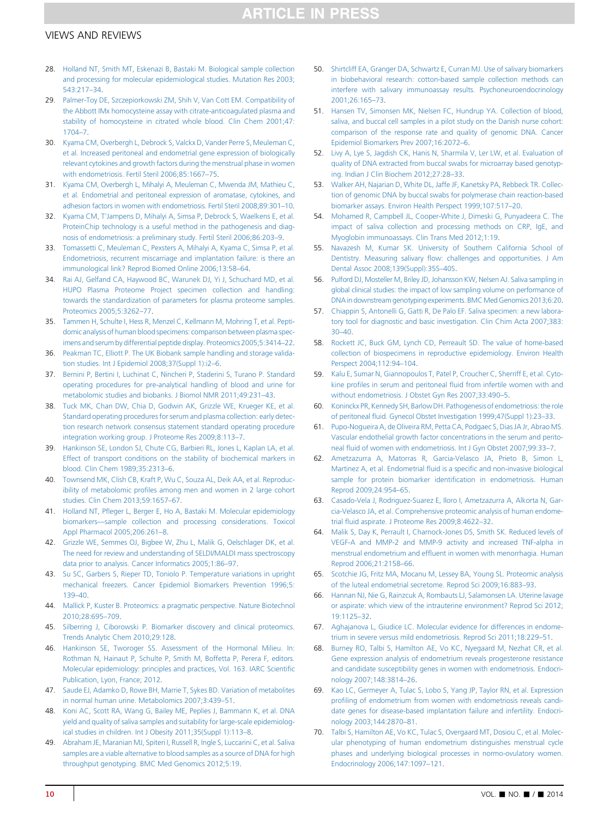## <span id="page-9-0"></span>VIEWS AND REVIEWS

- 28. [Holland NT, Smith MT, Eskenazi B, Bastaki M. Biological sample collection](http://refhub.elsevier.com/S0015-0282(14)01835-4/sref25) [and processing for molecular epidemiological studies. Mutation Res 2003;](http://refhub.elsevier.com/S0015-0282(14)01835-4/sref25) [543:217](http://refhub.elsevier.com/S0015-0282(14)01835-4/sref25)–34.
- 29. [Palmer-Toy DE, Szczepiorkowski ZM, Shih V, Van Cott EM. Compatibility of](http://refhub.elsevier.com/S0015-0282(14)01835-4/sref26) [the Abbott IMx homocysteine assay with citrate-anticoagulated plasma and](http://refhub.elsevier.com/S0015-0282(14)01835-4/sref26) [stability of homocysteine in citrated whole blood. Clin Chem 2001;47:](http://refhub.elsevier.com/S0015-0282(14)01835-4/sref26) [1704](http://refhub.elsevier.com/S0015-0282(14)01835-4/sref26)–7.
- 30. [Kyama CM, Overbergh L, Debrock S, Valckx D, Vander Perre S, Meuleman C,](http://refhub.elsevier.com/S0015-0282(14)01835-4/sref27) [et al. Increased peritoneal and endometrial gene expression of biologically](http://refhub.elsevier.com/S0015-0282(14)01835-4/sref27) [relevant cytokines and growth factors during the menstrual phase in women](http://refhub.elsevier.com/S0015-0282(14)01835-4/sref27) [with endometriosis. Fertil Steril 2006;85:1667](http://refhub.elsevier.com/S0015-0282(14)01835-4/sref27)–75.
- 31. [Kyama CM, Overbergh L, Mihalyi A, Meuleman C, Mwenda JM, Mathieu C,](http://refhub.elsevier.com/S0015-0282(14)01835-4/sref28) [et al. Endometrial and peritoneal expression of aromatase, cytokines, and](http://refhub.elsevier.com/S0015-0282(14)01835-4/sref28) [adhesion factors in women with endometriosis. Fertil Steril 2008;89:301](http://refhub.elsevier.com/S0015-0282(14)01835-4/sref28)–10.
- 32. [Kyama CM, T'Jampens D, Mihalyi A, Simsa P, Debrock S, Waelkens E, et al.](http://refhub.elsevier.com/S0015-0282(14)01835-4/sref29) [ProteinChip technology is a useful method in the pathogenesis and diag](http://refhub.elsevier.com/S0015-0282(14)01835-4/sref29)[nosis of endometriosis: a preliminary study. Fertil Steril 2006;86:203](http://refhub.elsevier.com/S0015-0282(14)01835-4/sref29)–9.
- 33. [Tomassetti C, Meuleman C, Pexsters A, Mihalyi A, Kyama C, Simsa P, et al.](http://refhub.elsevier.com/S0015-0282(14)01835-4/sref30) [Endometriosis, recurrent miscarriage and implantation failure: is there an](http://refhub.elsevier.com/S0015-0282(14)01835-4/sref30) [immunological link? Reprod Biomed Online 2006;13:58](http://refhub.elsevier.com/S0015-0282(14)01835-4/sref30)–64.
- 34. [Rai AJ, Gelfand CA, Haywood BC, Warunek DJ, Yi J, Schuchard MD, et al.](http://refhub.elsevier.com/S0015-0282(14)01835-4/sref31) [HUPO Plasma Proteome Project specimen collection and handling:](http://refhub.elsevier.com/S0015-0282(14)01835-4/sref31) [towards the standardization of parameters for plasma proteome samples.](http://refhub.elsevier.com/S0015-0282(14)01835-4/sref31) [Proteomics 2005;5:3262](http://refhub.elsevier.com/S0015-0282(14)01835-4/sref31)–77.
- 35. [Tammen H, Schulte I, Hess R, Menzel C, Kellmann M, Mohring T, et al. Pepti](http://refhub.elsevier.com/S0015-0282(14)01835-4/sref32)[domic analysis of human blood specimens: comparison between plasma spec](http://refhub.elsevier.com/S0015-0282(14)01835-4/sref32)[imens and serum by differential peptide display. Proteomics 2005;5:3414](http://refhub.elsevier.com/S0015-0282(14)01835-4/sref32)–22.
- 36. [Peakman TC, Elliott P. The UK Biobank sample handling and storage valida](http://refhub.elsevier.com/S0015-0282(14)01835-4/sref33)[tion studies. Int J Epidemiol 2008;37\(Suppl 1\):i2](http://refhub.elsevier.com/S0015-0282(14)01835-4/sref33)–6.
- 37. [Bernini P, Bertini I, Luchinat C, Nincheri P, Staderini S, Turano P. Standard](http://refhub.elsevier.com/S0015-0282(14)01835-4/sref34) [operating procedures for pre-analytical handling of blood and urine for](http://refhub.elsevier.com/S0015-0282(14)01835-4/sref34) [metabolomic studies and biobanks. J Biomol NMR 2011;49:231](http://refhub.elsevier.com/S0015-0282(14)01835-4/sref34)–43.
- 38. [Tuck MK, Chan DW, Chia D, Godwin AK, Grizzle WE, Krueger KE, et al.](http://refhub.elsevier.com/S0015-0282(14)01835-4/sref35) [Standard operating procedures for serum and plasma collection: early detec](http://refhub.elsevier.com/S0015-0282(14)01835-4/sref35)[tion research network consensus statement standard operating procedure](http://refhub.elsevier.com/S0015-0282(14)01835-4/sref35) [integration working group. J Proteome Res 2009;8:113](http://refhub.elsevier.com/S0015-0282(14)01835-4/sref35)–7.
- 39. [Hankinson SE, London SJ, Chute CG, Barbieri RL, Jones L, Kaplan LA, et al.](http://refhub.elsevier.com/S0015-0282(14)01835-4/sref36) [Effect of transport conditions on the stability of biochemical markers in](http://refhub.elsevier.com/S0015-0282(14)01835-4/sref36) [blood. Clin Chem 1989;35:2313](http://refhub.elsevier.com/S0015-0282(14)01835-4/sref36)–6.
- 40. [Townsend MK, Clish CB, Kraft P, Wu C, Souza AL, Deik AA, et al. Reproduc](http://refhub.elsevier.com/S0015-0282(14)01835-4/sref37)ibility of metabolomic profi[les among men and women in 2 large cohort](http://refhub.elsevier.com/S0015-0282(14)01835-4/sref37) [studies. Clin Chem 2013;59:1657](http://refhub.elsevier.com/S0015-0282(14)01835-4/sref37)–67.
- 41. Holland NT, Pfl[eger L, Berger E, Ho A, Bastaki M. Molecular epidemiology](http://refhub.elsevier.com/S0015-0282(14)01835-4/sref38) biomarkers—[sample collection and processing considerations. Toxicol](http://refhub.elsevier.com/S0015-0282(14)01835-4/sref38) [Appl Pharmacol 2005;206:261](http://refhub.elsevier.com/S0015-0282(14)01835-4/sref38)–8.
- 42. [Grizzle WE, Semmes OJ, Bigbee W, Zhu L, Malik G, Oelschlager DK, et al.](http://refhub.elsevier.com/S0015-0282(14)01835-4/sref39) [The need for review and understanding of SELDI/MALDI mass spectroscopy](http://refhub.elsevier.com/S0015-0282(14)01835-4/sref39) [data prior to analysis. Cancer Informatics 2005;1:86](http://refhub.elsevier.com/S0015-0282(14)01835-4/sref39)–97.
- 43. [Su SC, Garbers S, Rieper TD, Toniolo P. Temperature variations in upright](http://refhub.elsevier.com/S0015-0282(14)01835-4/sref40) [mechanical freezers. Cancer Epidemiol Biomarkers Prevention 1996;5:](http://refhub.elsevier.com/S0015-0282(14)01835-4/sref40) [139](http://refhub.elsevier.com/S0015-0282(14)01835-4/sref40)–40.
- 44. [Mallick P, Kuster B. Proteomics: a pragmatic perspective. Nature Biotechnol](http://refhub.elsevier.com/S0015-0282(14)01835-4/sref41) [2010;28:695](http://refhub.elsevier.com/S0015-0282(14)01835-4/sref41)–709.
- 45. [Silberring J, Ciborowski P. Biomarker discovery and clinical proteomics.](http://refhub.elsevier.com/S0015-0282(14)01835-4/sref42) [Trends Analytic Chem 2010;29:128.](http://refhub.elsevier.com/S0015-0282(14)01835-4/sref42)
- 46. [Hankinson SE, Tworoger SS. Assessment of the Hormonal Milieu. In:](http://refhub.elsevier.com/S0015-0282(14)01835-4/sref43) [Rothman N, Hainaut P, Schulte P, Smith M, Boffetta P, Perera F, editors.](http://refhub.elsevier.com/S0015-0282(14)01835-4/sref43) [Molecular epidemiology: principles and practices, Vol. 163. IARC Scienti](http://refhub.elsevier.com/S0015-0282(14)01835-4/sref43)fic [Publication, Lyon, France; 2012.](http://refhub.elsevier.com/S0015-0282(14)01835-4/sref43)
- 47. [Saude EJ, Adamko D, Rowe BH, Marrie T, Sykes BD. Variation of metabolites](http://refhub.elsevier.com/S0015-0282(14)01835-4/sref44) [in normal human urine. Metabolomics 2007;3:439](http://refhub.elsevier.com/S0015-0282(14)01835-4/sref44)–51.
- 48. [Koni AC, Scott RA, Wang G, Bailey ME, Peplies J, Bammann K, et al. DNA](http://refhub.elsevier.com/S0015-0282(14)01835-4/sref45) [yield and quality of saliva samples and suitability for large-scale epidemiolog](http://refhub.elsevier.com/S0015-0282(14)01835-4/sref45)[ical studies in children. Int J Obesity 2011;35\(Suppl 1\):113](http://refhub.elsevier.com/S0015-0282(14)01835-4/sref45)–8.
- 49. [Abraham JE, Maranian MJ, Spiteri I, Russell R, Ingle S, Luccarini C, et al. Saliva](http://refhub.elsevier.com/S0015-0282(14)01835-4/sref46) [samples are a viable alternative to blood samples as a source of DNA for high](http://refhub.elsevier.com/S0015-0282(14)01835-4/sref46) [throughput genotyping. BMC Med Genomics 2012;5:19.](http://refhub.elsevier.com/S0015-0282(14)01835-4/sref46)
- 50. [Shirtcliff EA, Granger DA, Schwartz E, Curran MJ. Use of salivary biomarkers](http://refhub.elsevier.com/S0015-0282(14)01835-4/sref47) [in biobehavioral research: cotton-based sample collection methods can](http://refhub.elsevier.com/S0015-0282(14)01835-4/sref47) [interfere with salivary immunoassay results. Psychoneuroendocrinology](http://refhub.elsevier.com/S0015-0282(14)01835-4/sref47) [2001;26:165](http://refhub.elsevier.com/S0015-0282(14)01835-4/sref47)–73.
- 51. [Hansen TV, Simonsen MK, Nielsen FC, Hundrup YA. Collection of blood,](http://refhub.elsevier.com/S0015-0282(14)01835-4/sref48) [saliva, and buccal cell samples in a pilot study on the Danish nurse cohort:](http://refhub.elsevier.com/S0015-0282(14)01835-4/sref48) [comparison of the response rate and quality of genomic DNA. Cancer](http://refhub.elsevier.com/S0015-0282(14)01835-4/sref48) [Epidemiol Biomarkers Prev 2007;16:2072](http://refhub.elsevier.com/S0015-0282(14)01835-4/sref48)–6.
- 52. [Livy A, Lye S, Jagdish CK, Hanis N, Sharmila V, Ler LW, et al. Evaluation of](http://refhub.elsevier.com/S0015-0282(14)01835-4/sref49) [quality of DNA extracted from buccal swabs for microarray based genotyp](http://refhub.elsevier.com/S0015-0282(14)01835-4/sref49)[ing. Indian J Clin Biochem 2012;27:28](http://refhub.elsevier.com/S0015-0282(14)01835-4/sref49)–33.
- 53. [Walker AH, Najarian D, White DL, Jaffe JF, Kanetsky PA, Rebbeck TR. Collec](http://refhub.elsevier.com/S0015-0282(14)01835-4/sref50)[tion of genomic DNA by buccal swabs for polymerase chain reaction-based](http://refhub.elsevier.com/S0015-0282(14)01835-4/sref50) [biomarker assays. Environ Health Perspect 1999;107:517](http://refhub.elsevier.com/S0015-0282(14)01835-4/sref50)–20.
- 54. [Mohamed R, Campbell JL, Cooper-White J, Dimeski G, Punyadeera C. The](http://refhub.elsevier.com/S0015-0282(14)01835-4/sref51) [impact of saliva collection and processing methods on CRP, IgE, and](http://refhub.elsevier.com/S0015-0282(14)01835-4/sref51) [Myoglobin immunoassays. Clin Trans Med 2012;1:19](http://refhub.elsevier.com/S0015-0282(14)01835-4/sref51).
- 55. [Navazesh M, Kumar SK. University of Southern California School of](http://refhub.elsevier.com/S0015-0282(14)01835-4/sref52) Dentistry. Measuring salivary fl[ow: challenges and opportunities. J Am](http://refhub.elsevier.com/S0015-0282(14)01835-4/sref52) [Dental Assoc 2008;139\(Suppl\):35S](http://refhub.elsevier.com/S0015-0282(14)01835-4/sref52)–40S.
- 56. [Pulford DJ, Mosteller M, Briley JD, Johansson KW, Nelsen AJ. Saliva sampling in](http://refhub.elsevier.com/S0015-0282(14)01835-4/sref53) [global clinical studies: the impact of low sampling volume on performance of](http://refhub.elsevier.com/S0015-0282(14)01835-4/sref53) [DNA in downstream genotyping experiments. BMC Med Genomics 2013;6:20](http://refhub.elsevier.com/S0015-0282(14)01835-4/sref53).
- 57. [Chiappin S, Antonelli G, Gatti R, De Palo EF. Saliva specimen: a new labora](http://refhub.elsevier.com/S0015-0282(14)01835-4/sref54)[tory tool for diagnostic and basic investigation. Clin Chim Acta 2007;383:](http://refhub.elsevier.com/S0015-0282(14)01835-4/sref54) 30–[40](http://refhub.elsevier.com/S0015-0282(14)01835-4/sref54).
- 58. [Rockett JC, Buck GM, Lynch CD, Perreault SD. The value of home-based](http://refhub.elsevier.com/S0015-0282(14)01835-4/sref55) [collection of biospecimens in reproductive epidemiology. Environ Health](http://refhub.elsevier.com/S0015-0282(14)01835-4/sref55) [Perspect 2004;112:94](http://refhub.elsevier.com/S0015-0282(14)01835-4/sref55)–104.
- 59. [Kalu E, Sumar N, Giannopoulos T, Patel P, Croucher C, Sherriff E, et al. Cyto](http://refhub.elsevier.com/S0015-0282(14)01835-4/sref56)kine profiles in serum and peritoneal fl[uid from infertile women with and](http://refhub.elsevier.com/S0015-0282(14)01835-4/sref56) [without endometriosis. J Obstet Gyn Res 2007;33:490](http://refhub.elsevier.com/S0015-0282(14)01835-4/sref56)–5.
- 60. [Koninckx PR, Kennedy SH, Barlow DH. Pathogenesis of endometriosis: the role](http://refhub.elsevier.com/S0015-0282(14)01835-4/sref57) of peritoneal fl[uid. Gynecol Obstet Investigation 1999;47\(Suppl 1\):23](http://refhub.elsevier.com/S0015-0282(14)01835-4/sref57)–33.
- 61. [Pupo-Nogueira A, de Oliveira RM, Petta CA, Podgaec S, Dias JA Jr, Abrao MS.](http://refhub.elsevier.com/S0015-0282(14)01835-4/sref58) [Vascular endothelial growth factor concentrations in the serum and perito](http://refhub.elsevier.com/S0015-0282(14)01835-4/sref58)neal fl[uid of women with endometriosis. Int J Gyn Obstet 2007;99:33](http://refhub.elsevier.com/S0015-0282(14)01835-4/sref58)–7.
- 62. [Ametzazurra A, Matorras R, Garcia-Velasco JA, Prieto B, Simon L,](http://refhub.elsevier.com/S0015-0282(14)01835-4/sref59) [Martinez A, et al. Endometrial](http://refhub.elsevier.com/S0015-0282(14)01835-4/sref59) fluid is a specific and non-invasive biological [sample for protein biomarker identi](http://refhub.elsevier.com/S0015-0282(14)01835-4/sref59)fication in endometriosis. Human [Reprod 2009;24:954](http://refhub.elsevier.com/S0015-0282(14)01835-4/sref59)–65.
- 63. [Casado-Vela J, Rodriguez-Suarez E, Iloro I, Ametzazurra A, Alkorta N, Gar](http://refhub.elsevier.com/S0015-0282(14)01835-4/sref60)[cia-Velasco JA, et al. Comprehensive proteomic analysis of human endome](http://refhub.elsevier.com/S0015-0282(14)01835-4/sref60)trial fl[uid aspirate. J Proteome Res 2009;8:4622](http://refhub.elsevier.com/S0015-0282(14)01835-4/sref60)–32.
- 64. [Malik S, Day K, Perrault I, Charnock-Jones DS, Smith SK. Reduced levels of](http://refhub.elsevier.com/S0015-0282(14)01835-4/sref61) [VEGF-A and MMP-2 and MMP-9 activity and increased TNF-alpha in](http://refhub.elsevier.com/S0015-0282(14)01835-4/sref61) menstrual endometrium and effl[uent in women with menorrhagia. Human](http://refhub.elsevier.com/S0015-0282(14)01835-4/sref61) [Reprod 2006;21:2158](http://refhub.elsevier.com/S0015-0282(14)01835-4/sref61)–66.
- 65. [Scotchie JG, Fritz MA, Mocanu M, Lessey BA, Young SL. Proteomic analysis](http://refhub.elsevier.com/S0015-0282(14)01835-4/sref62) [of the luteal endometrial secretome. Reprod Sci 2009;16:883](http://refhub.elsevier.com/S0015-0282(14)01835-4/sref62)–93.
- 66. [Hannan NJ, Nie G, Rainzcuk A, Rombauts LJ, Salamonsen LA. Uterine lavage](http://refhub.elsevier.com/S0015-0282(14)01835-4/sref63) [or aspirate: which view of the intrauterine environment? Reprod Sci 2012;](http://refhub.elsevier.com/S0015-0282(14)01835-4/sref63) [19:1125](http://refhub.elsevier.com/S0015-0282(14)01835-4/sref63)–32.
- 67. [Aghajanova L, Giudice LC. Molecular evidence for differences in endome](http://refhub.elsevier.com/S0015-0282(14)01835-4/sref64)[trium in severe versus mild endometriosis. Reprod Sci 2011;18:229](http://refhub.elsevier.com/S0015-0282(14)01835-4/sref64)–51.
- 68. [Burney RO, Talbi S, Hamilton AE, Vo KC, Nyegaard M, Nezhat CR, et al.](http://refhub.elsevier.com/S0015-0282(14)01835-4/sref65) [Gene expression analysis of endometrium reveals progesterone resistance](http://refhub.elsevier.com/S0015-0282(14)01835-4/sref65) [and candidate susceptibility genes in women with endometriosis. Endocri](http://refhub.elsevier.com/S0015-0282(14)01835-4/sref65)[nology 2007;148:3814](http://refhub.elsevier.com/S0015-0282(14)01835-4/sref65)–26.
- 69. [Kao LC, Germeyer A, Tulac S, Lobo S, Yang JP, Taylor RN, et al. Expression](http://refhub.elsevier.com/S0015-0282(14)01835-4/sref66) profi[ling of endometrium from women with endometriosis reveals candi](http://refhub.elsevier.com/S0015-0282(14)01835-4/sref66)[date genes for disease-based implantation failure and infertility. Endocri](http://refhub.elsevier.com/S0015-0282(14)01835-4/sref66)[nology 2003;144:2870](http://refhub.elsevier.com/S0015-0282(14)01835-4/sref66)–81.
- 70. [Talbi S, Hamilton AE, Vo KC, Tulac S, Overgaard MT, Dosiou C, et al. Molec](http://refhub.elsevier.com/S0015-0282(14)01835-4/sref67)[ular phenotyping of human endometrium distinguishes menstrual cycle](http://refhub.elsevier.com/S0015-0282(14)01835-4/sref67) [phases and underlying biological processes in normo-ovulatory women.](http://refhub.elsevier.com/S0015-0282(14)01835-4/sref67) [Endocrinology 2006;147:1097](http://refhub.elsevier.com/S0015-0282(14)01835-4/sref67)–121.